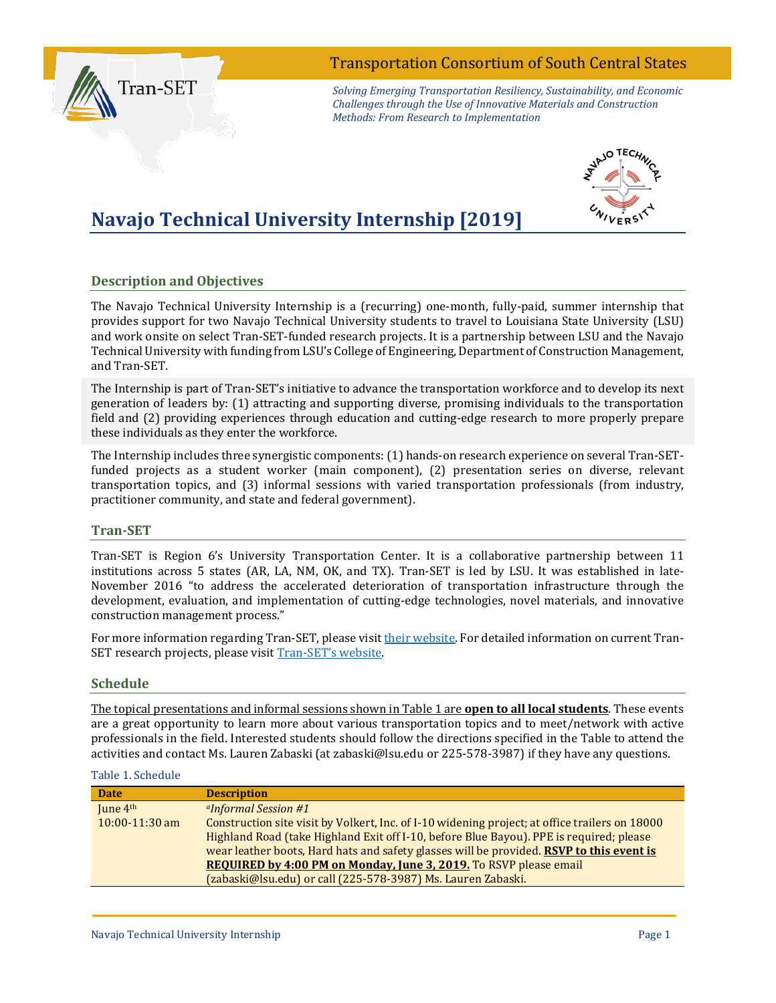# Transportation Consortium of South Central States



*Solving Emerging Transportation Resiliency, Sustainability, and Economic Challenges through the Use of Innovative Materials and Construction Methods: From Research to Implementation*

# **Navajo Technical University Internship [2019]**



## **Description and Objectives**

The Navajo Technical University Internship is a (recurring) one-month, fully-paid, summer internship that provides support for two Navajo Technical University students to travel to Louisiana State University (LSU) and work onsite on select Tran-SET-funded research projects. It is a partnership between LSU and the Navajo Technical University with funding from LSU's College of Engineering, Department of Construction Management, and Tran-SET.

The Internship is part of Tran-SET's initiative to advance the transportation workforce and to develop its next generation of leaders by: (1) attracting and supporting diverse, promising individuals to the transportation field and (2) providing experiences through education and cutting-edge research to more properly prepare these individuals as they enter the workforce.

The Internship includes three synergistic components: (1) hands-on research experience on several Tran-SETfunded projects as a student worker (main component), (2) presentation series on diverse, relevant transportation topics, and (3) informal sessions with varied transportation professionals (from industry, practitioner community, and state and federal government).

### **Tran-SET**

Tran-SET is Region 6's University Transportation Center. It is a collaborative partnership between 11 institutions across 5 states (AR, LA, NM, OK, and TX). Tran-SET is led by LSU. It was established in late-November 2016 "to address the accelerated deterioration of transportation infrastructure through the development, evaluation, and implementation of cutting-edge technologies, novel materials, and innovative construction management process."

For more information regarding Tran-SET, please visi[t their website.](https://transet.lsu.edu/) For detailed information on current Tran-SET research projects, please visit [Tran-SET's website.](https://transet.lsu.edu/research-in-progress/) 

#### **Schedule**

The topical presentations and informal sessions shown in Table 1 are **open to all local students**. These events are a great opportunity to learn more about various transportation topics and to meet/network with active professionals in the field. Interested students should follow the directions specified in the Table to attend the activities and contact Ms. Lauren Zabaski (at zabaski@lsu.edu or 225-578-3987) if they have any questions.

#### Table 1. Schedule

| <b>Date</b>      | <b>Description</b>                                                                             |
|------------------|------------------------------------------------------------------------------------------------|
| June $4th$       | <sup>a</sup> Informal Session #1                                                               |
| $10:00-11:30$ am | Construction site visit by Volkert, Inc. of I-10 widening project; at office trailers on 18000 |
|                  | Highland Road (take Highland Exit off I-10, before Blue Bayou). PPE is required; please        |
|                  | wear leather boots, Hard hats and safety glasses will be provided. RSVP to this event is       |
|                  | REQUIRED by 4:00 PM on Monday, June 3, 2019. To RSVP please email                              |
|                  | (zabaski@lsu.edu) or call (225-578-3987) Ms. Lauren Zabaski.                                   |